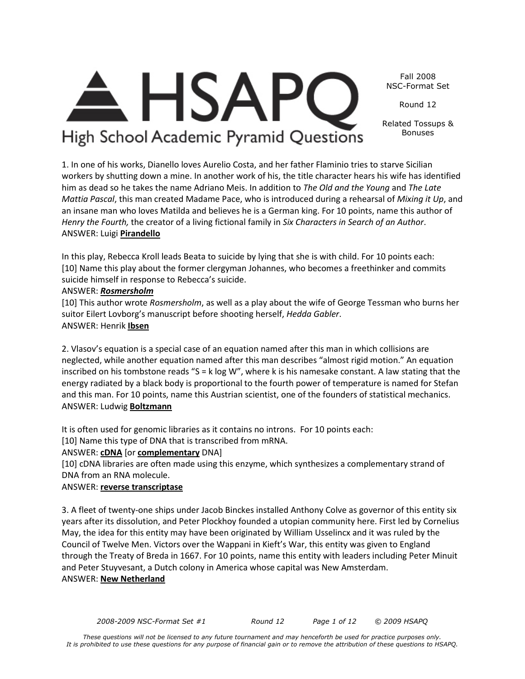*2008-2009 NSC-Format Set #1 Round 12 Page 1 of 12 © 2009 HSAPQ* 

#### Fall 2008 NSC-Format Set

Round 12

Related Tossups & Bonuses

High School Academic Pyramid Questions

**HSAF** 

1. In one of his works, Dianello loves Aurelio Costa, and her father Flaminio tries to starve Sicilian workers by shutting down a mine. In another work of his, the title character hears his wife has identified him as dead so he takes the name Adriano Meis. In addition to *The Old and the Young* and *The Late Mattia Pascal*, this man created Madame Pace, who is introduced during a rehearsal of *Mixing it Up*, and an insane man who loves Matilda and believes he is a German king. For 10 points, name this author of *Henry the Fourth,* the creator of a living fictional family in *Six Characters in Search of an Author*. ANSWER: Luigi **Pirandello**

In this play, Rebecca Kroll leads Beata to suicide by lying that she is with child. For 10 points each: [10] Name this play about the former clergyman Johannes, who becomes a freethinker and commits suicide himself in response to Rebecca's suicide.

# ANSWER: *Rosmersholm*

[10] This author wrote *Rosmersholm*, as well as a play about the wife of George Tessman who burns her suitor Eilert Lovborg's manuscript before shooting herself, *Hedda Gabler*. ANSWER: Henrik **Ibsen**

2. Vlasov's equation is a special case of an equation named after this man in which collisions are neglected, while another equation named after this man describes "almost rigid motion." An equation inscribed on his tombstone reads "S = k log W", where k is his namesake constant. A law stating that the energy radiated by a black body is proportional to the fourth power of temperature is named for Stefan and this man. For 10 points, name this Austrian scientist, one of the founders of statistical mechanics. ANSWER: Ludwig **Boltzmann**

It is often used for genomic libraries as it contains no introns. For 10 points each:

[10] Name this type of DNA that is transcribed from mRNA.

ANSWER: **cDNA** [or **complementary** DNA]

[10] cDNA libraries are often made using this enzyme, which synthesizes a complementary strand of DNA from an RNA molecule.

# ANSWER: **reverse transcriptase**

3. A fleet of twenty-one ships under Jacob Binckes installed Anthony Colve as governor of this entity six years after its dissolution, and Peter Plockhoy founded a utopian community here. First led by Cornelius May, the idea for this entity may have been originated by William Usselincx and it was ruled by the Council of Twelve Men. Victors over the Wappani in Kieft's War, this entity was given to England through the Treaty of Breda in 1667. For 10 points, name this entity with leaders including Peter Minuit and Peter Stuyvesant, a Dutch colony in America whose capital was New Amsterdam. ANSWER: **New Netherland**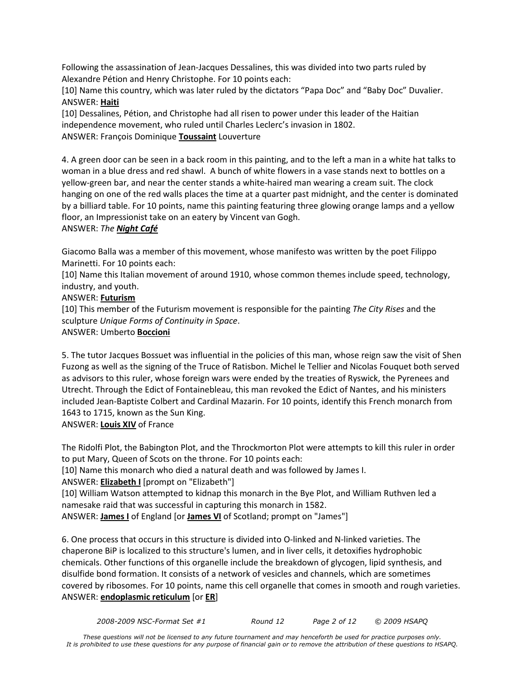Following the assassination of Jean-Jacques Dessalines, this was divided into two parts ruled by Alexandre Pétion and Henry Christophe. For 10 points each:

[10] Name this country, which was later ruled by the dictators "Papa Doc" and "Baby Doc" Duvalier. ANSWER: **Haiti**

[10] Dessalines, Pétion, and Christophe had all risen to power under this leader of the Haitian independence movement, who ruled until Charles Leclerc's invasion in 1802. ANSWER: François Dominique **Toussaint** Louverture

4. A green door can be seen in a back room in this painting, and to the left a man in a white hat talks to woman in a blue dress and red shawl. A bunch of white flowers in a vase stands next to bottles on a yellow-green bar, and near the center stands a white-haired man wearing a cream suit. The clock hanging on one of the red walls places the time at a quarter past midnight, and the center is dominated by a billiard table. For 10 points, name this painting featuring three glowing orange lamps and a yellow floor, an Impressionist take on an eatery by Vincent van Gogh.

# ANSWER: *The Night Café*

Giacomo Balla was a member of this movement, whose manifesto was written by the poet Filippo Marinetti. For 10 points each:

[10] Name this Italian movement of around 1910, whose common themes include speed, technology, industry, and youth.

# ANSWER: **Futurism**

[10] This member of the Futurism movement is responsible for the painting *The City Rises* and the sculpture *Unique Forms of Continuity in Space*.

# ANSWER: Umberto **Boccioni**

5. The tutor Jacques Bossuet was influential in the policies of this man, whose reign saw the visit of Shen Fuzong as well as the signing of the Truce of Ratisbon. Michel le Tellier and Nicolas Fouquet both served as advisors to this ruler, whose foreign wars were ended by the treaties of Ryswick, the Pyrenees and Utrecht. Through the Edict of Fontainebleau, this man revoked the Edict of Nantes, and his ministers included Jean-Baptiste Colbert and Cardinal Mazarin. For 10 points, identify this French monarch from 1643 to 1715, known as the Sun King.

# ANSWER: **Louis XIV** of France

The Ridolfi Plot, the Babington Plot, and the Throckmorton Plot were attempts to kill this ruler in order to put Mary, Queen of Scots on the throne. For 10 points each:

[10] Name this monarch who died a natural death and was followed by James I.

ANSWER: **Elizabeth I** [prompt on "Elizabeth"]

[10] William Watson attempted to kidnap this monarch in the Bye Plot, and William Ruthven led a namesake raid that was successful in capturing this monarch in 1582.

ANSWER: **James I** of England [or **James VI** of Scotland; prompt on "James"]

6. One process that occurs in this structure is divided into O-linked and N-linked varieties. The chaperone BiP is localized to this structure's lumen, and in liver cells, it detoxifies hydrophobic chemicals. Other functions of this organelle include the breakdown of glycogen, lipid synthesis, and disulfide bond formation. It consists of a network of vesicles and channels, which are sometimes covered by ribosomes. For 10 points, name this cell organelle that comes in smooth and rough varieties. ANSWER: **endoplasmic reticulum** [or **ER**]

*2008-2009 NSC-Format Set #1 Round 12 Page 2 of 12 © 2009 HSAPQ*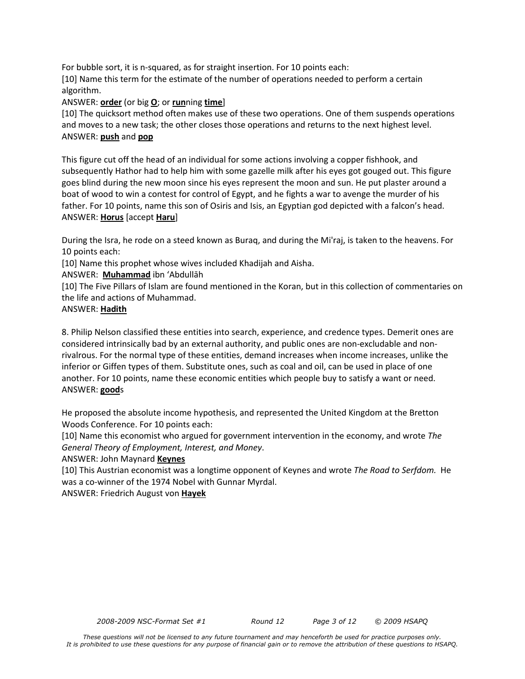For bubble sort, it is n-squared, as for straight insertion. For 10 points each:

[10] Name this term for the estimate of the number of operations needed to perform a certain algorithm.

ANSWER: **order** (or big **O**; or **run**ning **time**]

[10] The quicksort method often makes use of these two operations. One of them suspends operations and moves to a new task; the other closes those operations and returns to the next highest level. ANSWER: **push** and **pop**

This figure cut off the head of an individual for some actions involving a copper fishhook, and subsequently Hathor had to help him with some gazelle milk after his eyes got gouged out. This figure goes blind during the new moon since his eyes represent the moon and sun. He put plaster around a boat of wood to win a contest for control of Egypt, and he fights a war to avenge the murder of his father. For 10 points, name this son of Osiris and Isis, an Egyptian god depicted with a falcon's head. ANSWER: **Horus** [accept **Haru**]

During the Isra, he rode on a steed known as Buraq, and during the Mi'raj, is taken to the heavens. For 10 points each:

[10] Name this prophet whose wives included Khadijah and Aisha.

ANSWER: **Muhammad** ibn 'Abdullāh

[10] The Five Pillars of Islam are found mentioned in the Koran, but in this collection of commentaries on the life and actions of Muhammad.

# ANSWER: **Hadith**

8. Philip Nelson classified these entities into search, experience, and credence types. Demerit ones are considered intrinsically bad by an external authority, and public ones are non-excludable and nonrivalrous. For the normal type of these entities, demand increases when income increases, unlike the inferior or Giffen types of them. Substitute ones, such as coal and oil, can be used in place of one another. For 10 points, name these economic entities which people buy to satisfy a want or need. ANSWER: **good**s

He proposed the absolute income hypothesis, and represented the United Kingdom at the Bretton Woods Conference. For 10 points each:

[10] Name this economist who argued for government intervention in the economy, and wrote *The General Theory of Employment, Interest, and Money*.

# ANSWER: John Maynard **Keynes**

[10] This Austrian economist was a longtime opponent of Keynes and wrote *The Road to Serfdom.* He was a co-winner of the 1974 Nobel with Gunnar Myrdal.

ANSWER: Friedrich August von **Hayek**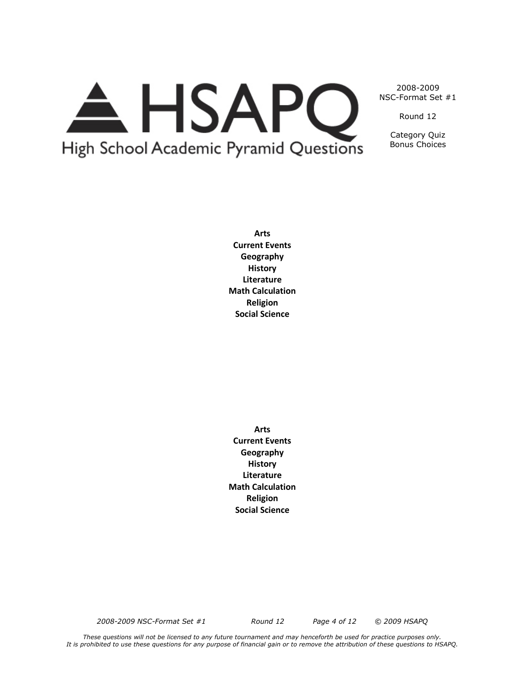# A HSAPO High School Academic Pyramid Questions

2008-2009 NSC-Format Set #1

Round 12

Category Quiz Bonus Choices

**Arts Current Events Geography History Literature Math Calculation Religion Social Science**

**Arts Current Events Geography History Literature Math Calculation Religion Social Science**

*2008-2009 NSC-Format Set #1 Round 12 Page 4 of 12 © 2009 HSAPQ* 

*These questions will not be licensed to any future tournament and may henceforth be used for practice purposes only. It is prohibited to use these questions for any purpose of financial gain or to remove the attribution of these questions to HSAPQ.*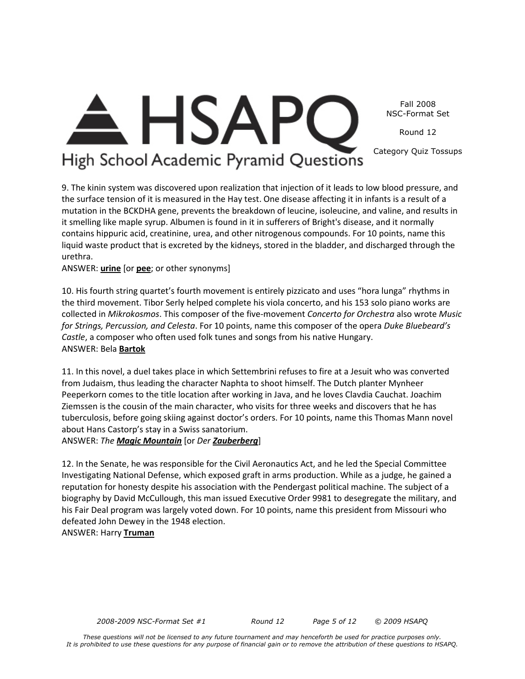**HSAP** Fall 2008 NSC-Format Set Round 12 Category Quiz Tossups

# High School Academic Pyramid Questions

9. The kinin system was discovered upon realization that injection of it leads to low blood pressure, and the surface tension of it is measured in the Hay test. One disease affecting it in infants is a result of a mutation in the BCKDHA gene, prevents the breakdown of leucine, isoleucine, and valine, and results in it smelling like maple syrup. Albumen is found in it in sufferers of Bright's disease, and it normally contains hippuric acid, creatinine, urea, and other nitrogenous compounds. For 10 points, name this liquid waste product that is excreted by the kidneys, stored in the bladder, and discharged through the urethra.

ANSWER: **urine** [or **pee**; or other synonyms]

10. His fourth string quartet's fourth movement is entirely pizzicato and uses "hora lunga" rhythms in the third movement. Tibor Serly helped complete his viola concerto, and his 153 solo piano works are collected in *Mikrokosmos*. This composer of the five-movement *Concerto for Orchestra* also wrote *Music for Strings, Percussion, and Celesta*. For 10 points, name this composer of the opera *Duke Bluebeard's Castle*, a composer who often used folk tunes and songs from his native Hungary. ANSWER: Bela **Bartok**

11. In this novel, a duel takes place in which Settembrini refuses to fire at a Jesuit who was converted from Judaism, thus leading the character Naphta to shoot himself. The Dutch planter Mynheer Peeperkorn comes to the title location after working in Java, and he loves Clavdia Cauchat. Joachim Ziemssen is the cousin of the main character, who visits for three weeks and discovers that he has tuberculosis, before going skiing against doctor's orders. For 10 points, name this Thomas Mann novel about Hans Castorp's stay in a Swiss sanatorium.

ANSWER: *The Magic Mountain* [or *Der Zauberberg*]

12. In the Senate, he was responsible for the Civil Aeronautics Act, and he led the Special Committee Investigating National Defense, which exposed graft in arms production. While as a judge, he gained a reputation for honesty despite his association with the Pendergast political machine. The subject of a biography by David McCullough, this man issued Executive Order 9981 to desegregate the military, and his Fair Deal program was largely voted down. For 10 points, name this president from Missouri who defeated John Dewey in the 1948 election.

ANSWER: Harry **Truman**

*2008-2009 NSC-Format Set #1 Round 12 Page 5 of 12 © 2009 HSAPQ*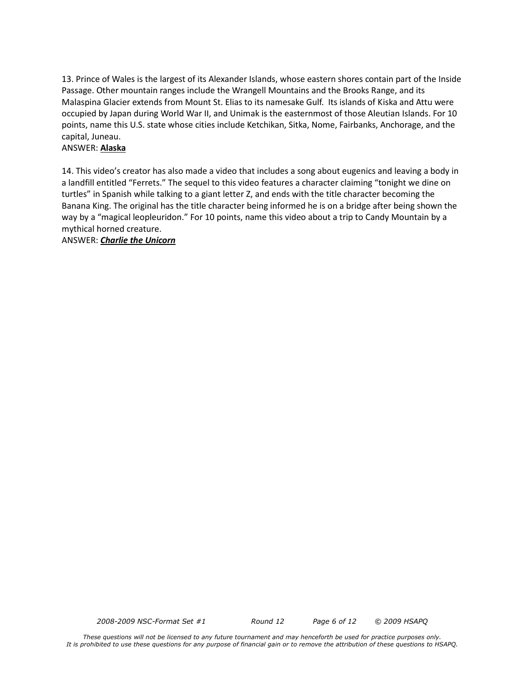13. Prince of Wales is the largest of its Alexander Islands, whose eastern shores contain part of the Inside Passage. Other mountain ranges include the Wrangell Mountains and the Brooks Range, and its Malaspina Glacier extends from Mount St. Elias to its namesake Gulf. Its islands of Kiska and Attu were occupied by Japan during World War II, and Unimak is the easternmost of those Aleutian Islands. For 10 points, name this U.S. state whose cities include Ketchikan, Sitka, Nome, Fairbanks, Anchorage, and the capital, Juneau.

# ANSWER: **Alaska**

14. This video's creator has also made a video that includes a song about eugenics and leaving a body in a landfill entitled "Ferrets." The sequel to this video features a character claiming "tonight we dine on turtles" in Spanish while talking to a giant letter Z, and ends with the title character becoming the Banana King. The original has the title character being informed he is on a bridge after being shown the way by a "magical leopleuridon." For 10 points, name this video about a trip to Candy Mountain by a mythical horned creature.

ANSWER: *Charlie the Unicorn*

*2008-2009 NSC-Format Set #1 Round 12 Page 6 of 12 © 2009 HSAPQ*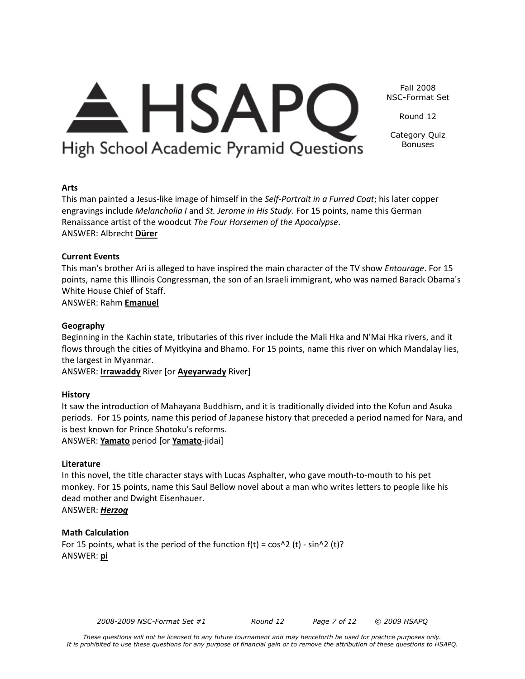

This man painted a Jesus-like image of himself in the *Self-Portrait in a Furred Coat*; his later copper engravings include *Melancholia I* and *St. Jerome in His Study*. For 15 points, name this German

Beginning in the Kachin state, tributaries of this river include the Mali Hka and N'Mai Hka rivers, and it flows through the cities of Myitkyina and Bhamo. For 15 points, name this river on which Mandalay lies, the largest in Myanmar.

This man's brother Ari is alleged to have inspired the main character of the TV show *Entourage*. For 15 points, name this Illinois Congressman, the son of an Israeli immigrant, who was named Barack Obama's

ANSWER: **Irrawaddy** River [or **Ayeyarwady** River]

# **History**

**Arts**

ANSWER: Albrecht **Dürer**

**Current Events** 

It saw the introduction of Mahayana Buddhism, and it is traditionally divided into the Kofun and Asuka periods. For 15 points, name this period of Japanese history that preceded a period named for Nara, and is best known for Prince Shotoku's reforms. ANSWER: **Yamato** period [or **Yamato**-jidai]

# **Literature**

In this novel, the title character stays with Lucas Asphalter, who gave mouth-to-mouth to his pet monkey. For 15 points, name this Saul Bellow novel about a man who writes letters to people like his dead mother and Dwight Eisenhauer.

ANSWER: *Herzog*

# **Math Calculation**

For 15 points, what is the period of the function  $f(t) = cos^2 2 (t) - sin^2 2 (t)$ ? ANSWER: **pi**

*2008-2009 NSC-Format Set #1 Round 12 Page 7 of 12 © 2009 HSAPQ* 

Round 12

Category Quiz Bonuses

Fall 2008 NSC-Format Set

<del>A</del> HSAPC High School Academic Pyramid Questions

Renaissance artist of the woodcut *The Four Horsemen of the Apocalypse*.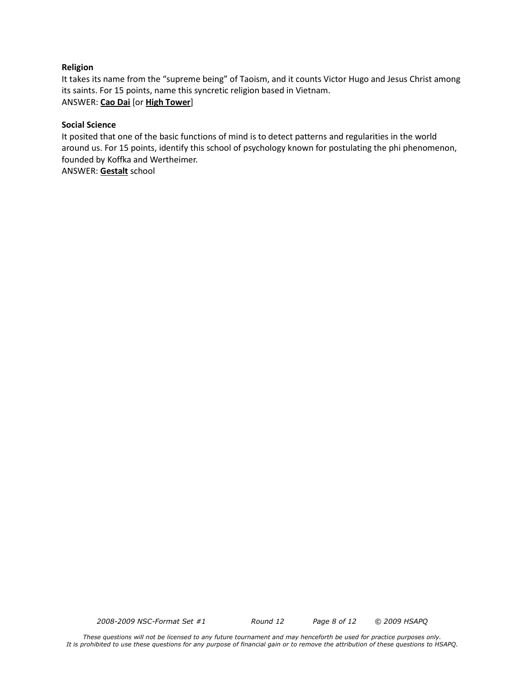#### **Religion**

It takes its name from the "supreme being" of Taoism, and it counts Victor Hugo and Jesus Christ among its saints. For 15 points, name this syncretic religion based in Vietnam. ANSWER: **Cao Dai** [or **High Tower**]

#### **Social Science**

It posited that one of the basic functions of mind is to detect patterns and regularities in the world around us. For 15 points, identify this school of psychology known for postulating the phi phenomenon, founded by Koffka and Wertheimer.

ANSWER: **Gestalt** school

*2008-2009 NSC-Format Set #1 Round 12 Page 8 of 12 © 2009 HSAPQ* 

*These questions will not be licensed to any future tournament and may henceforth be used for practice purposes only. It is prohibited to use these questions for any purpose of financial gain or to remove the attribution of these questions to HSAPQ.*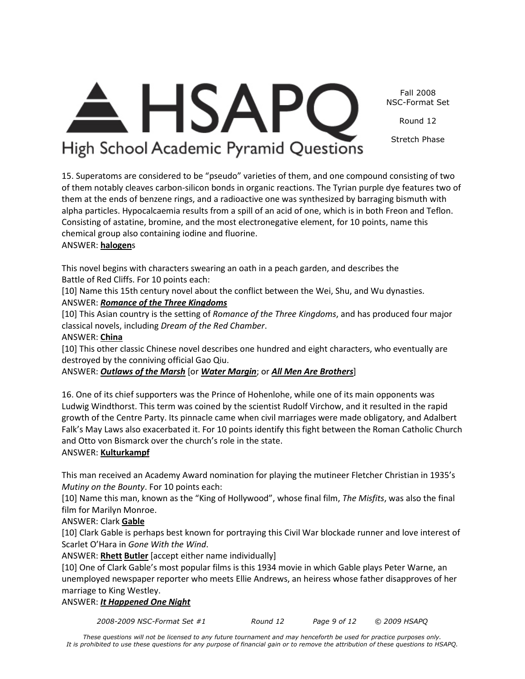Fall 2008 NSC-Format Set

Round 12

Stretch Phase

# <del>A</del> HSAPC High School Academic Pyramid Questions

15. Superatoms are considered to be "pseudo" varieties of them, and one compound consisting of two of them notably cleaves carbon-silicon bonds in organic reactions. The Tyrian purple dye features two of them at the ends of benzene rings, and a radioactive one was synthesized by barraging bismuth with alpha particles. Hypocalcaemia results from a spill of an acid of one, which is in both Freon and Teflon. Consisting of astatine, bromine, and the most electronegative element, for 10 points, name this chemical group also containing iodine and fluorine.

# ANSWER: **halogen**s

This novel begins with characters swearing an oath in a peach garden, and describes the Battle of Red Cliffs. For 10 points each:

[10] Name this 15th century novel about the conflict between the Wei, Shu, and Wu dynasties. ANSWER: *Romance of the Three Kingdoms*

[10] This Asian country is the setting of *Romance of the Three Kingdoms*, and has produced four major classical novels, including *Dream of the Red Chamber*.

# ANSWER: **China**

[10] This other classic Chinese novel describes one hundred and eight characters, who eventually are destroyed by the conniving official Gao Qiu.

# ANSWER: *Outlaws of the Marsh* [or *Water Margin*; or *All Men Are Brothers*]

16. One of its chief supporters was the Prince of Hohenlohe, while one of its main opponents was Ludwig Windthorst. This term was coined by the scientist Rudolf Virchow, and it resulted in the rapid growth of the Centre Party. Its pinnacle came when civil marriages were made obligatory, and Adalbert Falk's May Laws also exacerbated it. For 10 points identify this fight between the Roman Catholic Church and Otto von Bismarck over the church's role in the state.

# ANSWER: **Kulturkampf**

This man received an Academy Award nomination for playing the mutineer Fletcher Christian in 1935's *Mutiny on the Bounty*. For 10 points each:

[10] Name this man, known as the "King of Hollywood", whose final film, *The Misfits*, was also the final film for Marilyn Monroe.

# ANSWER: Clark **Gable**

[10] Clark Gable is perhaps best known for portraying this Civil War blockade runner and love interest of Scarlet O'Hara in *Gone With the Wind*.

ANSWER: **Rhett Butler** [accept either name individually]

[10] One of Clark Gable's most popular films is this 1934 movie in which Gable plays Peter Warne, an unemployed newspaper reporter who meets Ellie Andrews, an heiress whose father disapproves of her marriage to King Westley.

# ANSWER: *It Happened One Night*

*2008-2009 NSC-Format Set #1 Round 12 Page 9 of 12 © 2009 HSAPQ* 

*These questions will not be licensed to any future tournament and may henceforth be used for practice purposes only. It is prohibited to use these questions for any purpose of financial gain or to remove the attribution of these questions to HSAPQ.*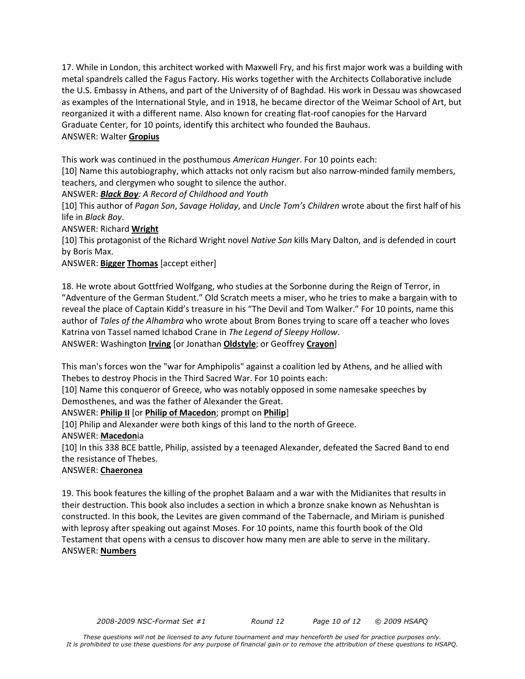17. While in London, this architect worked with Maxwell Fry, and his first major work was a building with metal spandrels called the Fagus Factory. His works together with the Architects Collaborative include the U.S. Embassy in Athens, and part of the University of of Baghdad. His work in Dessau was showcased as examples of the International Style, and in 1918, he became director of the Weimar School of Art, but reorganized it with a different name. Also known for creating flat-roof canopies for the Harvard Graduate Center, for 10 points, identify this architect who founded the Bauhaus. ANSWER: Walter **Gropius**

This work was continued in the posthumous *American Hunger*. For 10 points each:

[10] Name this autobiography, which attacks not only racism but also narrow-minded family members, teachers, and clergymen who sought to silence the author.

ANSWER: *Black Boy: A Record of Childhood and Youth*

[10] This author of *Pagan Son*, *Savage Holiday*, and *Uncle Tom's Children* wrote about the first half of his life in *Black Boy*.

ANSWER: Richard **Wright**

[10] This protagonist of the Richard Wright novel *Native Son* kills Mary Dalton, and is defended in court by Boris Max.

# ANSWER: **Bigger Thomas** [accept either]

18. He wrote about Gottfried Wolfgang, who studies at the Sorbonne during the Reign of Terror, in "Adventure of the German Student." Old Scratch meets a miser, who he tries to make a bargain with to reveal the place of Captain Kidd's treasure in his "The Devil and Tom Walker." For 10 points, name this author of *Tales of the Alhambra* who wrote about Brom Bones trying to scare off a teacher who loves Katrina von Tassel named Ichabod Crane in *The Legend of Sleepy Hollow*. ANSWER: Washington **Irving** [or Jonathan **Oldstyle**; or Geoffrey **Crayon**]

This man's forces won the "war for Amphipolis" against a coalition led by Athens, and he allied with Thebes to destroy Phocis in the Third Sacred War. For 10 points each:

[10] Name this conqueror of Greece, who was notably opposed in some namesake speeches by Demosthenes, and was the father of Alexander the Great.

ANSWER: **Philip II** [or **Philip of Macedon**; prompt on **Philip**]

[10] Philip and Alexander were both kings of this land to the north of Greece.

ANSWER: **Macedon**ia

[10] In this 338 BCE battle, Philip, assisted by a teenaged Alexander, defeated the Sacred Band to end the resistance of Thebes.

# ANSWER: **Chaeronea**

19. This book features the killing of the prophet Balaam and a war with the Midianites that results in their destruction. This book also includes a section in which a bronze snake known as Nehushtan is constructed. In this book, the Levites are given command of the Tabernacle, and Miriam is punished with leprosy after speaking out against Moses. For 10 points, name this fourth book of the Old Testament that opens with a census to discover how many men are able to serve in the military. ANSWER: **Numbers**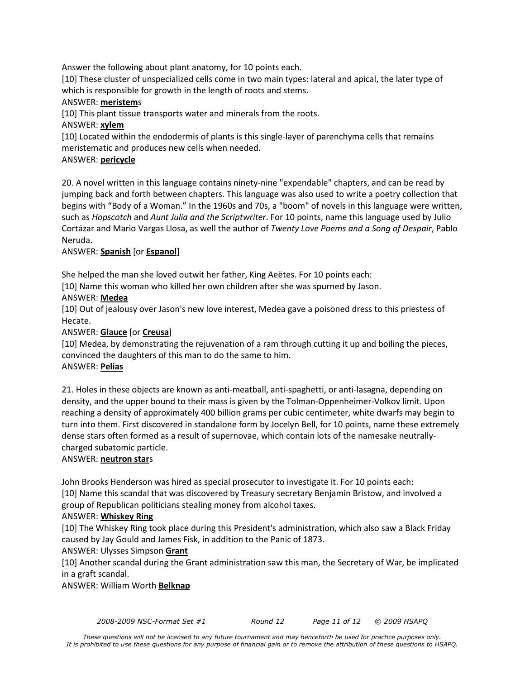Answer the following about plant anatomy, for 10 points each.

[10] These cluster of unspecialized cells come in two main types: lateral and apical, the later type of which is responsible for growth in the length of roots and stems.

#### ANSWER: **meristem**s

[10] This plant tissue transports water and minerals from the roots.

ANSWER: **xylem**

[10] Located within the endodermis of plants is this single-layer of parenchyma cells that remains meristematic and produces new cells when needed.

#### ANSWER: **pericycle**

20. A novel written in this language contains ninety-nine "expendable" chapters, and can be read by jumping back and forth between chapters. This language was also used to write a poetry collection that begins with "Body of a Woman." In the 1960s and 70s, a "boom" of novels in this language were written, such as *Hopscotch* and *Aunt Julia and the Scriptwriter*. For 10 points, name this language used by Julio Cortázar and Mario Vargas Llosa, as well the author of *Twenty Love Poems and a Song of Despair*, Pablo Neruda.

# ANSWER: **Spanish** [or **Espanol**]

She helped the man she loved outwit her father, King Aeëtes. For 10 points each:

[10] Name this woman who killed her own children after she was spurned by Jason.

#### ANSWER: **Medea**

[10] Out of jealousy over Jason's new love interest, Medea gave a poisoned dress to this priestess of Hecate.

# ANSWER: **Glauce** [or **Creusa**]

[10] Medea, by demonstrating the rejuvenation of a ram through cutting it up and boiling the pieces, convinced the daughters of this man to do the same to him. ANSWER: **Pelias**

21. Holes in these objects are known as anti-meatball, anti-spaghetti, or anti-lasagna, depending on density, and the upper bound to their mass is given by the Tolman-Oppenheimer-Volkov limit. Upon reaching a density of approximately 400 billion grams per cubic centimeter, white dwarfs may begin to turn into them. First discovered in standalone form by Jocelyn Bell, for 10 points, name these extremely dense stars often formed as a result of supernovae, which contain lots of the namesake neutrallycharged subatomic particle.

#### ANSWER: **neutron star**s

John Brooks Henderson was hired as special prosecutor to investigate it. For 10 points each: [10] Name this scandal that was discovered by Treasury secretary Benjamin Bristow, and involved a group of Republican politicians stealing money from alcohol taxes.

#### ANSWER: **Whiskey Ring**

[10] The Whiskey Ring took place during this President's administration, which also saw a Black Friday caused by Jay Gould and James Fisk, in addition to the Panic of 1873.

# ANSWER: Ulysses Simpson **Grant**

[10] Another scandal during the Grant administration saw this man, the Secretary of War, be implicated in a graft scandal.

ANSWER: William Worth **Belknap**

*2008-2009 NSC-Format Set #1 Round 12 Page 11 of 12 © 2009 HSAPQ*